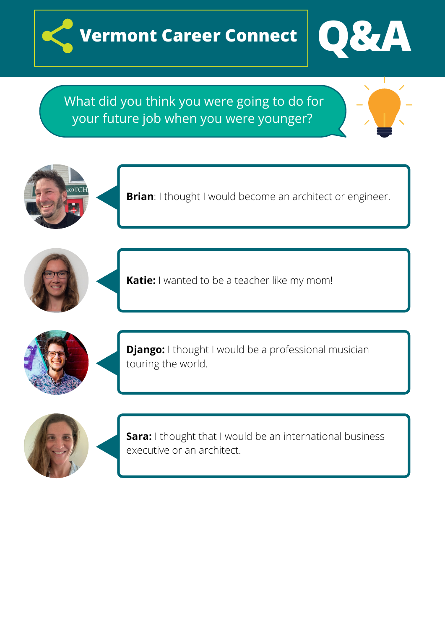



What did you think you were going to do for your future job when you were younger?





**Brian**: I thought I would become an architect or engineer.





**Katie:** I wanted to be a teacher like my mom!



**Django:** I thought I would be a professional musician touring the world.



**Sara:** I thought that I would be an international business executive or an architect.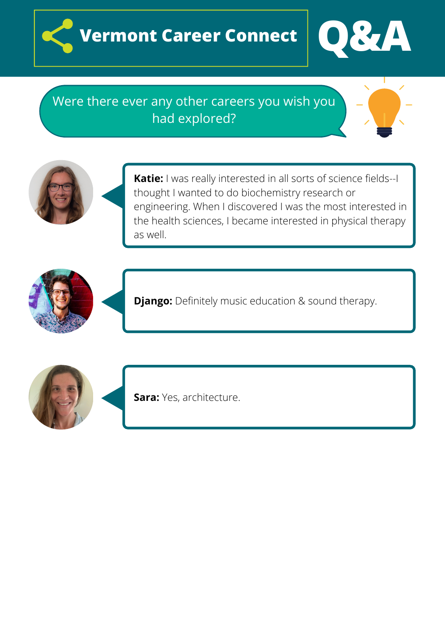



## Were there ever any other careers you wish you had explored?







**Django:** Definitely music education & sound therapy.





**Sara:** Yes, architecture.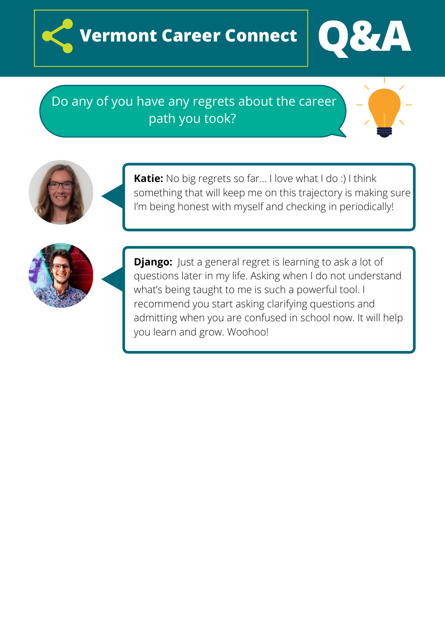



## Do any of you have any regrets about the career path you took?





**Katie:** No big regrets so far… I love what I do :) I think something that will keep me on this trajectory is making sure I'm being honest with myself and checking in periodically!



**Django:** Just a general regret is learning to ask a lot of questions later in my life. Asking when I do not understand what's being taught to me is such a powerful tool. I recommend you start asking clarifying questions and admitting when you are confused in school now. It will help you learn and grow. Woohoo!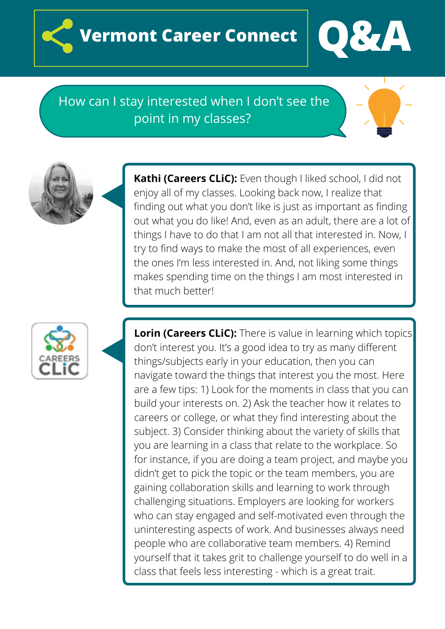



How can I stay interested when I don't see the point in my classes?

> **Kathi (Careers CLiC):** Even though I liked school, I did not enjoy all of my classes. Looking back now, I realize that finding out what you don't like is just as important as finding out what you do like! And, even as an adult, there are a lot of things I have to do that I am not all that interested in. Now, I try to find ways to make the most of all experiences, even the ones I'm less interested in. And, not liking some things makes spending time on the things I am most interested in that much better!



**Lorin (Careers CLiC):** There is value in learning which topics don't interest you. It's a good idea to try as many different things/subjects early in your education, then you can navigate toward the things that interest you the most. Here are a few tips: 1) Look for the moments in class that you can build your interests on. 2) Ask the teacher how it relates to careers or college, or what they find interesting about the subject. 3) Consider thinking about the variety of skills that you are learning in a class that relate to the workplace. So for instance, if you are doing a team project, and maybe you didn't get to pick the topic or the team members, you are gaining collaboration skills and learning to work through challenging situations. Employers are looking for workers who can stay engaged and self-motivated even through the uninteresting aspects of work. And businesses always need people who are collaborative team members. 4) Remind yourself that it takes grit to challenge yourself to do well in a class that feels less interesting - which is a great trait.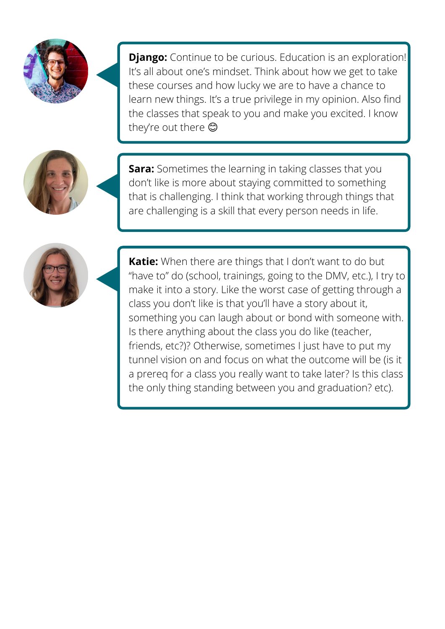

**Django:** Continue to be curious. Education is an exploration! It's all about one's mindset. Think about how we get to take these courses and how lucky we are to have a chance to learn new things. It's a true privilege in my opinion. Also find the classes that speak to you and make you excited. I know they're out there



**Sara:** Sometimes the learning in taking classes that you don't like is more about staying committed to something that is challenging. I think that working through things that are challenging is a skill that every person needs in life.



**Katie:** When there are things that I don't want to do but "have to" do (school, trainings, going to the DMV, etc.), I try to make it into a story. Like the worst case of getting through a class you don't like is that you'll have a story about it, something you can laugh about or bond with someone with. Is there anything about the class you do like (teacher, friends, etc?)? Otherwise, sometimes I just have to put my tunnel vision on and focus on what the outcome will be (is it a prereq for a class you really want to take later? Is this class the only thing standing between you and graduation? etc).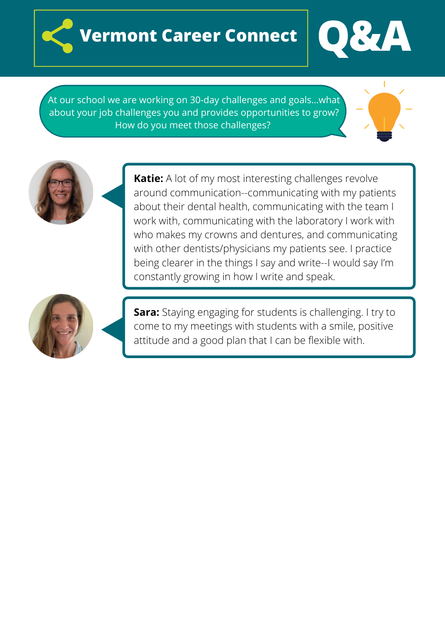



At our school we are working on 30-day challenges and goals…what about your job challenges you and provides opportunities to grow? How do you meet those challenges?





**Katie:** A lot of my most interesting challenges revolve around communication--communicating with my patients about their dental health, communicating with the team I work with, communicating with the laboratory I work with who makes my crowns and dentures, and communicating with other dentists/physicians my patients see. I practice being clearer in the things I say and write--I would say I'm constantly growing in how I write and speak.



**Sara:** Staying engaging for students is challenging. I try to come to my meetings with students with a smile, positive attitude and a good plan that I can be flexible with.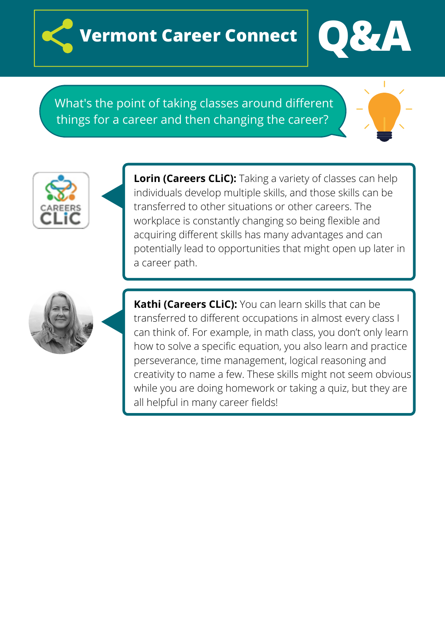



What's the point of taking classes around different things for a career and then changing the career?





**Lorin (Careers CLiC):** Taking a variety of classes can help individuals develop multiple skills, and those skills can be transferred to other situations or other careers. The workplace is constantly changing so being flexible and acquiring different skills has many advantages and can potentially lead to opportunities that might open up later in a career path.



**Kathi (Careers CLiC):** You can learn skills that can be transferred to different occupations in almost every class I can think of. For example, in math class, you don't only learn how to solve a specific equation, you also learn and practice perseverance, time management, logical reasoning and creativity to name a few. These skills might not seem obvious while you are doing homework or taking a quiz, but they are all helpful in many career fields!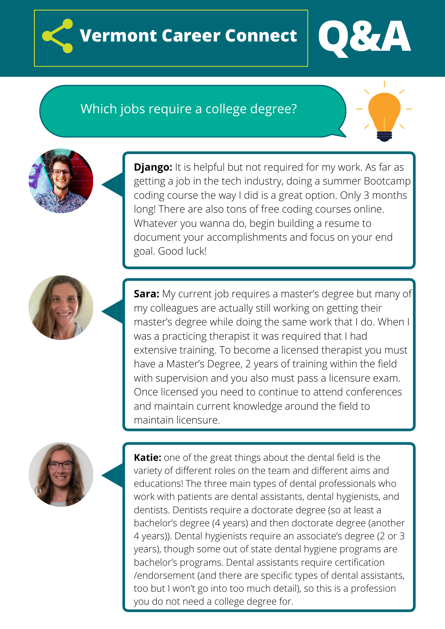



## Which jobs require a college degree?



**Django:** It is helpful but not required for my work. As far as getting a job in the tech industry, doing a summer Bootcamp coding course the way I did is a great option. Only 3 months long! There are also tons of free coding courses online. Whatever you wanna do, begin building a resume to document your accomplishments and focus on your end goal. Good luck!



**Sara:** My current job requires a master's degree but many of my colleagues are actually still working on getting their master's degree while doing the same work that I do. When I was a practicing therapist it was required that I had extensive training. To become a licensed therapist you must have a Master's Degree, 2 years of training within the field with supervision and you also must pass a licensure exam. Once licensed you need to continue to attend conferences and maintain current knowledge around the field to maintain licensure.



**Katie:** one of the great things about the dental field is the variety of different roles on the team and different aims and educations! The three main types of dental professionals who work with patients are dental assistants, dental hygienists, and dentists. Dentists require a doctorate degree (so at least a bachelor's degree (4 years) and then doctorate degree (another 4 years)). Dental hygienists require an associate's degree (2 or 3 years), though some out of state dental hygiene programs are bachelor's programs. Dental assistants require certification /endorsement (and there are specific types of dental assistants, too but I won't go into too much detail), so this is a profession you do not need a college degree for.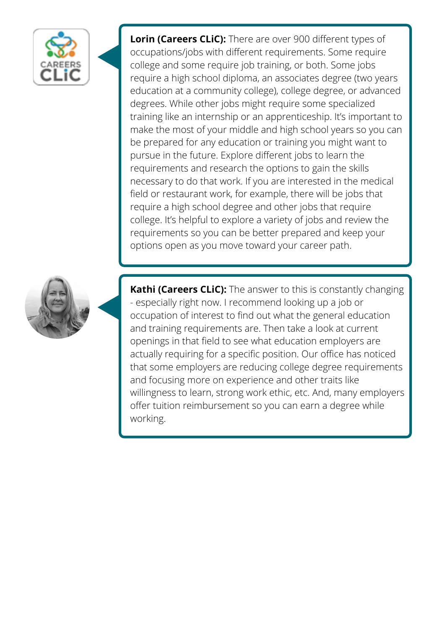

**Lorin (Careers CLiC):** There are over 900 different types of occupations/jobs with different requirements. Some require college and some require job training, or both. Some jobs require a high school diploma, an associates degree (two years education at a community college), college degree, or advanced degrees. While other jobs might require some specialized training like an internship or an apprenticeship. It's important to make the most of your middle and high school years so you can be prepared for any education or training you might want to pursue in the future. Explore different jobs to learn the requirements and research the options to gain the skills necessary to do that work. If you are interested in the medical field or restaurant work, for example, there will be jobs that require a high school degree and other jobs that require college. It's helpful to explore a variety of jobs and review the requirements so you can be better prepared and keep your options open as you move toward your career path.



**Kathi (Careers CLiC):** The answer to this is constantly changing - especially right now. I recommend looking up a job or occupation of interest to find out what the general education and training requirements are. Then take a look at current openings in that field to see what education employers are actually requiring for a specific position. Our office has noticed that some employers are reducing college degree requirements and focusing more on experience and other traits like willingness to learn, strong work ethic, etc. And, many employers offer tuition reimbursement so you can earn a degree while working.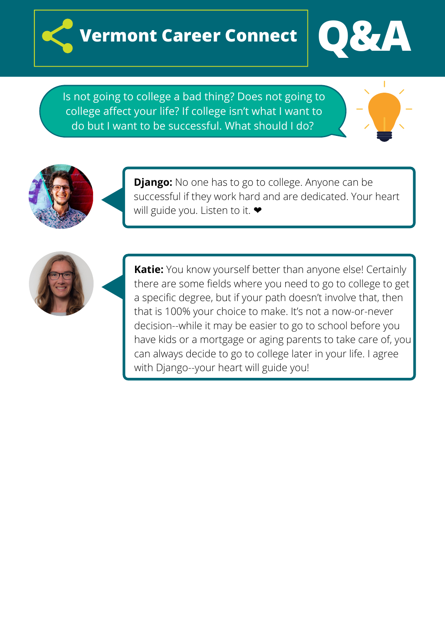



Is not going to college a bad thing? Does not going to college affect your life? If college isn't what I want to do but I want to be successful. What should I do?





**Django:** No one has to go to college. Anyone can be successful if they work hard and are dedicated. Your heart will guide you. Listen to it. ♥



**Katie:** You know yourself better than anyone else! Certainly there are some fields where you need to go to college to get a specific degree, but if your path doesn't involve that, then that is 100% your choice to make. It's not a now-or-never decision--while it may be easier to go to school before you have kids or a mortgage or aging parents to take care of, you can always decide to go to college later in your life. I agree with Django--your heart will guide you!